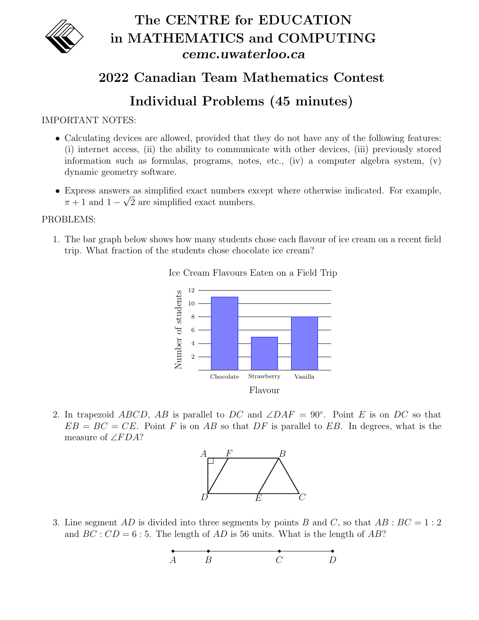

## The CENTRE for EDUCATION in MATHEMATICS and COMPUTING cemc.uwaterloo.ca

## 2022 Canadian Team Mathematics Contest

## Individual Problems (45 minutes)

IMPORTANT NOTES:

- Calculating devices are allowed, provided that they do not have any of the following features: (i) internet access, (ii) the ability to communicate with other devices, (iii) previously stored information such as formulas, programs, notes, etc.,  $(iv)$  a computer algebra system,  $(v)$ dynamic geometry software.
- Express answers as simplified exact numbers except where otherwise indicated. For example, √  $\pi + 1$  and  $1 - \sqrt{2}$  are simplified exact numbers.

## PROBLEMS:

1. The bar graph below shows how many students chose each flavour of ice cream on a recent field trip. What fraction of the students chose chocolate ice cream?



Ice Cream Flavours Eaten on a Field Trip

2. In trapezoid ABCD, AB is parallel to DC and  $\angle DAF = 90^{\circ}$ . Point E is on DC so that  $EB = BC = CE$ . Point F is on AB so that DF is parallel to EB. In degrees, what is the measure of  $\angle FDA?$ 



3. Line segment AD is divided into three segments by points B and C, so that  $AB : BC = 1 : 2$ and  $BC: CD = 6:5$ . The length of AD is 56 units. What is the length of AB?